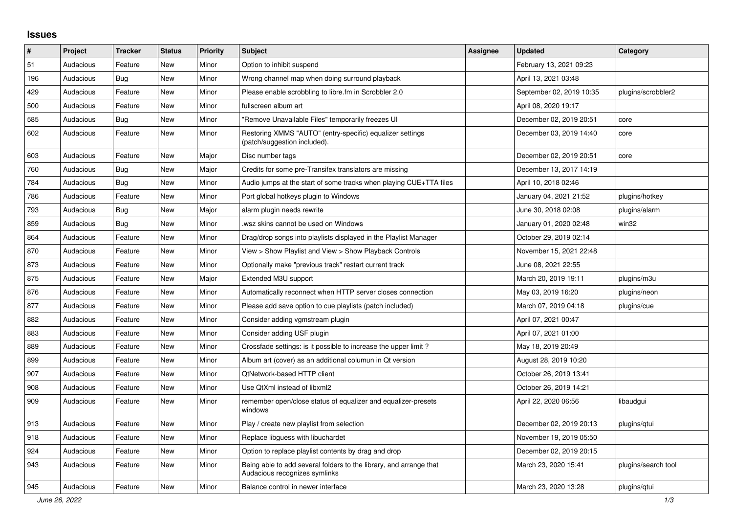## **Issues**

| #   | Project   | <b>Tracker</b> | <b>Status</b> | <b>Priority</b> | <b>Subject</b>                                                                                      | <b>Assignee</b> | <b>Updated</b>           | Category            |
|-----|-----------|----------------|---------------|-----------------|-----------------------------------------------------------------------------------------------------|-----------------|--------------------------|---------------------|
| 51  | Audacious | Feature        | <b>New</b>    | Minor           | Option to inhibit suspend                                                                           |                 | February 13, 2021 09:23  |                     |
| 196 | Audacious | Bug            | New           | Minor           | Wrong channel map when doing surround playback                                                      |                 | April 13, 2021 03:48     |                     |
| 429 | Audacious | Feature        | <b>New</b>    | Minor           | Please enable scrobbling to libre.fm in Scrobbler 2.0                                               |                 | September 02, 2019 10:35 | plugins/scrobbler2  |
| 500 | Audacious | Feature        | <b>New</b>    | Minor           | fullscreen album art                                                                                |                 | April 08, 2020 19:17     |                     |
| 585 | Audacious | Bug            | <b>New</b>    | Minor           | "Remove Unavailable Files" temporarily freezes UI                                                   |                 | December 02, 2019 20:51  | core                |
| 602 | Audacious | Feature        | <b>New</b>    | Minor           | Restoring XMMS "AUTO" (entry-specific) equalizer settings<br>(patch/suggestion included).           |                 | December 03, 2019 14:40  | core                |
| 603 | Audacious | Feature        | <b>New</b>    | Major           | Disc number tags                                                                                    |                 | December 02, 2019 20:51  | core                |
| 760 | Audacious | Bug            | <b>New</b>    | Major           | Credits for some pre-Transifex translators are missing                                              |                 | December 13, 2017 14:19  |                     |
| 784 | Audacious | <b>Bug</b>     | <b>New</b>    | Minor           | Audio jumps at the start of some tracks when playing CUE+TTA files                                  |                 | April 10, 2018 02:46     |                     |
| 786 | Audacious | Feature        | New           | Minor           | Port global hotkeys plugin to Windows                                                               |                 | January 04, 2021 21:52   | plugins/hotkey      |
| 793 | Audacious | Bug            | New           | Major           | alarm plugin needs rewrite                                                                          |                 | June 30, 2018 02:08      | plugins/alarm       |
| 859 | Audacious | Bug            | <b>New</b>    | Minor           | wsz skins cannot be used on Windows.                                                                |                 | January 01, 2020 02:48   | win32               |
| 864 | Audacious | Feature        | <b>New</b>    | Minor           | Drag/drop songs into playlists displayed in the Playlist Manager                                    |                 | October 29, 2019 02:14   |                     |
| 870 | Audacious | Feature        | <b>New</b>    | Minor           | View > Show Playlist and View > Show Playback Controls                                              |                 | November 15, 2021 22:48  |                     |
| 873 | Audacious | Feature        | <b>New</b>    | Minor           | Optionally make "previous track" restart current track                                              |                 | June 08, 2021 22:55      |                     |
| 875 | Audacious | Feature        | <b>New</b>    | Major           | Extended M3U support                                                                                |                 | March 20, 2019 19:11     | plugins/m3u         |
| 876 | Audacious | Feature        | <b>New</b>    | Minor           | Automatically reconnect when HTTP server closes connection                                          |                 | May 03, 2019 16:20       | plugins/neon        |
| 877 | Audacious | Feature        | <b>New</b>    | Minor           | Please add save option to cue playlists (patch included)                                            |                 | March 07, 2019 04:18     | plugins/cue         |
| 882 | Audacious | Feature        | New           | Minor           | Consider adding vgmstream plugin                                                                    |                 | April 07, 2021 00:47     |                     |
| 883 | Audacious | Feature        | New           | Minor           | Consider adding USF plugin                                                                          |                 | April 07, 2021 01:00     |                     |
| 889 | Audacious | Feature        | <b>New</b>    | Minor           | Crossfade settings: is it possible to increase the upper limit?                                     |                 | May 18, 2019 20:49       |                     |
| 899 | Audacious | Feature        | <b>New</b>    | Minor           | Album art (cover) as an additional columun in Qt version                                            |                 | August 28, 2019 10:20    |                     |
| 907 | Audacious | Feature        | <b>New</b>    | Minor           | QtNetwork-based HTTP client                                                                         |                 | October 26, 2019 13:41   |                     |
| 908 | Audacious | Feature        | <b>New</b>    | Minor           | Use QtXml instead of libxml2                                                                        |                 | October 26, 2019 14:21   |                     |
| 909 | Audacious | Feature        | New           | Minor           | remember open/close status of equalizer and equalizer-presets<br>windows                            |                 | April 22, 2020 06:56     | libaudgui           |
| 913 | Audacious | Feature        | <b>New</b>    | Minor           | Play / create new playlist from selection                                                           |                 | December 02, 2019 20:13  | plugins/qtui        |
| 918 | Audacious | Feature        | New           | Minor           | Replace libguess with libuchardet                                                                   |                 | November 19, 2019 05:50  |                     |
| 924 | Audacious | Feature        | New           | Minor           | Option to replace playlist contents by drag and drop                                                |                 | December 02, 2019 20:15  |                     |
| 943 | Audacious | Feature        | <b>New</b>    | Minor           | Being able to add several folders to the library, and arrange that<br>Audacious recognizes symlinks |                 | March 23, 2020 15:41     | plugins/search tool |
| 945 | Audacious | Feature        | New           | Minor           | Balance control in newer interface                                                                  |                 | March 23, 2020 13:28     | plugins/gtui        |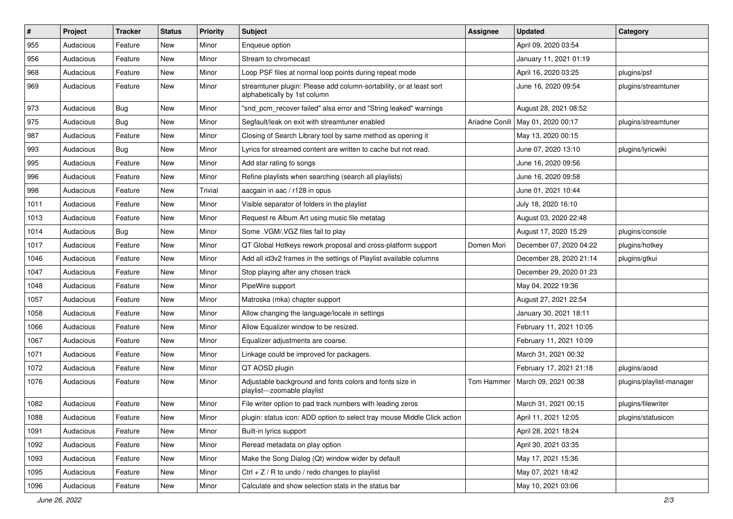| #    | Project   | <b>Tracker</b> | <b>Status</b> | <b>Priority</b> | Subject                                                                                             | <b>Assignee</b> | <b>Updated</b>          | Category                 |
|------|-----------|----------------|---------------|-----------------|-----------------------------------------------------------------------------------------------------|-----------------|-------------------------|--------------------------|
| 955  | Audacious | Feature        | New           | Minor           | Enqueue option                                                                                      |                 | April 09, 2020 03:54    |                          |
| 956  | Audacious | Feature        | New           | Minor           | Stream to chromecast                                                                                |                 | January 11, 2021 01:19  |                          |
| 968  | Audacious | Feature        | New           | Minor           | Loop PSF files at normal loop points during repeat mode                                             |                 | April 16, 2020 03:25    | plugins/psf              |
| 969  | Audacious | Feature        | New           | Minor           | streamtuner plugin: Please add column-sortability, or at least sort<br>alphabetically by 1st column |                 | June 16, 2020 09:54     | plugins/streamtuner      |
| 973  | Audacious | Bug            | New           | Minor           | "snd_pcm_recover failed" alsa error and "String leaked" warnings                                    |                 | August 28, 2021 08:52   |                          |
| 975  | Audacious | Bug            | New           | Minor           | Segfault/leak on exit with streamtuner enabled                                                      | Ariadne Conill  | May 01, 2020 00:17      | plugins/streamtuner      |
| 987  | Audacious | Feature        | New           | Minor           | Closing of Search Library tool by same method as opening it                                         |                 | May 13, 2020 00:15      |                          |
| 993  | Audacious | Bug            | New           | Minor           | Lyrics for streamed content are written to cache but not read.                                      |                 | June 07, 2020 13:10     | plugins/lyricwiki        |
| 995  | Audacious | Feature        | New           | Minor           | Add star rating to songs                                                                            |                 | June 16, 2020 09:56     |                          |
| 996  | Audacious | Feature        | New           | Minor           | Refine playlists when searching (search all playlists)                                              |                 | June 16, 2020 09:58     |                          |
| 998  | Audacious | Feature        | New           | Trivial         | aacgain in aac / r128 in opus                                                                       |                 | June 01, 2021 10:44     |                          |
| 1011 | Audacious | Feature        | New           | Minor           | Visible separator of folders in the playlist                                                        |                 | July 18, 2020 16:10     |                          |
| 1013 | Audacious | Feature        | New           | Minor           | Request re Album Art using music file metatag                                                       |                 | August 03, 2020 22:48   |                          |
| 1014 | Audacious | <b>Bug</b>     | New           | Minor           | Some .VGM/.VGZ files fail to play                                                                   |                 | August 17, 2020 15:29   | plugins/console          |
| 1017 | Audacious | Feature        | New           | Minor           | QT Global Hotkeys rework proposal and cross-platform support                                        | Domen Mori      | December 07, 2020 04:22 | plugins/hotkey           |
| 1046 | Audacious | Feature        | New           | Minor           | Add all id3v2 frames in the settings of Playlist available columns                                  |                 | December 28, 2020 21:14 | plugins/gtkui            |
| 1047 | Audacious | Feature        | New           | Minor           | Stop playing after any chosen track                                                                 |                 | December 29, 2020 01:23 |                          |
| 1048 | Audacious | Feature        | New           | Minor           | PipeWire support                                                                                    |                 | May 04, 2022 19:36      |                          |
| 1057 | Audacious | Feature        | New           | Minor           | Matroska (mka) chapter support                                                                      |                 | August 27, 2021 22:54   |                          |
| 1058 | Audacious | Feature        | New           | Minor           | Allow changing the language/locale in settings                                                      |                 | January 30, 2021 18:11  |                          |
| 1066 | Audacious | Feature        | New           | Minor           | Allow Equalizer window to be resized.                                                               |                 | February 11, 2021 10:05 |                          |
| 1067 | Audacious | Feature        | New           | Minor           | Equalizer adjustments are coarse.                                                                   |                 | February 11, 2021 10:09 |                          |
| 1071 | Audacious | Feature        | New           | Minor           | Linkage could be improved for packagers.                                                            |                 | March 31, 2021 00:32    |                          |
| 1072 | Audacious | Feature        | New           | Minor           | QT AOSD plugin                                                                                      |                 | February 17, 2021 21:18 | plugins/aosd             |
| 1076 | Audacious | Feature        | New           | Minor           | Adjustable background and fonts colors and fonts size in<br>playlist---zoomable playlist            | Tom Hammer      | March 09, 2021 00:38    | plugins/playlist-manager |
| 1082 | Audacious | Feature        | New           | Minor           | File writer option to pad track numbers with leading zeros                                          |                 | March 31, 2021 00:15    | plugins/filewriter       |
| 1088 | Audacious | Feature        | New           | Minor           | plugin: status icon: ADD option to select tray mouse Middle Click action                            |                 | April 11, 2021 12:05    | plugins/statusicon       |
| 1091 | Audacious | Feature        | New           | Minor           | Built-in lyrics support                                                                             |                 | April 28, 2021 18:24    |                          |
| 1092 | Audacious | Feature        | New           | Minor           | Reread metadata on play option                                                                      |                 | April 30, 2021 03:35    |                          |
| 1093 | Audacious | Feature        | New           | Minor           | Make the Song Dialog (Qt) window wider by default                                                   |                 | May 17, 2021 15:36      |                          |
| 1095 | Audacious | Feature        | New           | Minor           | Ctrl + $Z$ / R to undo / redo changes to playlist                                                   |                 | May 07, 2021 18:42      |                          |
| 1096 | Audacious | Feature        | New           | Minor           | Calculate and show selection stats in the status bar                                                |                 | May 10, 2021 03:06      |                          |